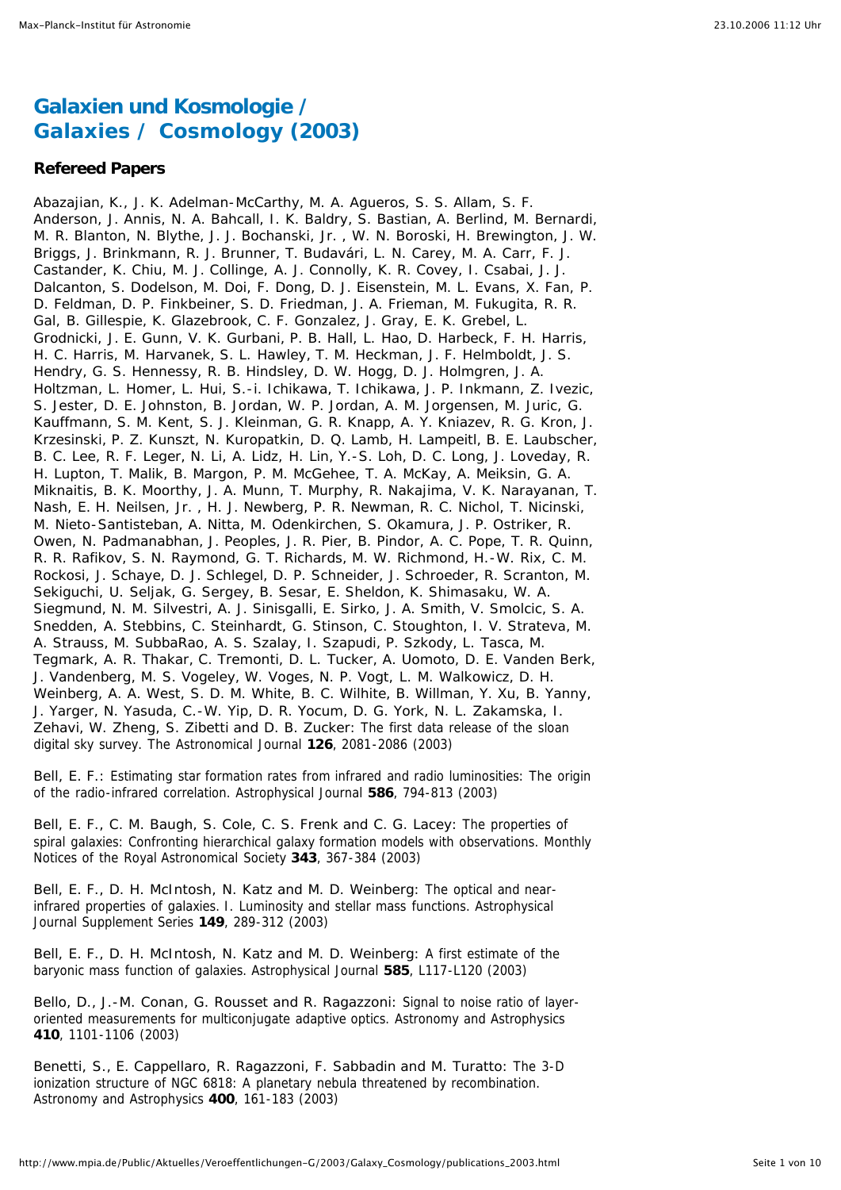# **Galaxien und Kosmologie /** *Galaxies / Cosmology* **(2003)**

## **Refereed Papers**

*Abazajian, K., J. K. Adelman-McCarthy, M. A. Agueros, S. S. Allam, S. F. Anderson, J. Annis, N. A. Bahcall, I. K. Baldry, S. Bastian, A. Berlind, M. Bernardi, M. R. Blanton, N. Blythe, J. J. Bochanski, Jr. , W. N. Boroski, H. Brewington, J. W. Briggs, J. Brinkmann, R. J. Brunner, T. Budavári, L. N. Carey, M. A. Carr, F. J. Castander, K. Chiu, M. J. Collinge, A. J. Connolly, K. R. Covey, I. Csabai, J. J. Dalcanton, S. Dodelson, M. Doi, F. Dong, D. J. Eisenstein, M. L. Evans, X. Fan, P. D. Feldman, D. P. Finkbeiner, S. D. Friedman, J. A. Frieman, M. Fukugita, R. R. Gal, B. Gillespie, K. Glazebrook, C. F. Gonzalez, J. Gray, E. K. Grebel, L. Grodnicki, J. E. Gunn, V. K. Gurbani, P. B. Hall, L. Hao, D. Harbeck, F. H. Harris, H. C. Harris, M. Harvanek, S. L. Hawley, T. M. Heckman, J. F. Helmboldt, J. S. Hendry, G. S. Hennessy, R. B. Hindsley, D. W. Hogg, D. J. Holmgren, J. A. Holtzman, L. Homer, L. Hui, S.-i. Ichikawa, T. Ichikawa, J. P. Inkmann, Z. Ivezic, S. Jester, D. E. Johnston, B. Jordan, W. P. Jordan, A. M. Jorgensen, M. Juric, G. Kauffmann, S. M. Kent, S. J. Kleinman, G. R. Knapp, A. Y. Kniazev, R. G. Kron, J. Krzesinski, P. Z. Kunszt, N. Kuropatkin, D. Q. Lamb, H. Lampeitl, B. E. Laubscher, B. C. Lee, R. F. Leger, N. Li, A. Lidz, H. Lin, Y.-S. Loh, D. C. Long, J. Loveday, R. H. Lupton, T. Malik, B. Margon, P. M. McGehee, T. A. McKay, A. Meiksin, G. A. Miknaitis, B. K. Moorthy, J. A. Munn, T. Murphy, R. Nakajima, V. K. Narayanan, T. Nash, E. H. Neilsen, Jr. , H. J. Newberg, P. R. Newman, R. C. Nichol, T. Nicinski, M. Nieto-Santisteban, A. Nitta, M. Odenkirchen, S. Okamura, J. P. Ostriker, R. Owen, N. Padmanabhan, J. Peoples, J. R. Pier, B. Pindor, A. C. Pope, T. R. Quinn, R. R. Rafikov, S. N. Raymond, G. T. Richards, M. W. Richmond, H.-W. Rix, C. M. Rockosi, J. Schaye, D. J. Schlegel, D. P. Schneider, J. Schroeder, R. Scranton, M. Sekiguchi, U. Seljak, G. Sergey, B. Sesar, E. Sheldon, K. Shimasaku, W. A. Siegmund, N. M. Silvestri, A. J. Sinisgalli, E. Sirko, J. A. Smith, V. Smolcic, S. A. Snedden, A. Stebbins, C. Steinhardt, G. Stinson, C. Stoughton, I. V. Strateva, M. A. Strauss, M. SubbaRao, A. S. Szalay, I. Szapudi, P. Szkody, L. Tasca, M. Tegmark, A. R. Thakar, C. Tremonti, D. L. Tucker, A. Uomoto, D. E. Vanden Berk, J. Vandenberg, M. S. Vogeley, W. Voges, N. P. Vogt, L. M. Walkowicz, D. H. Weinberg, A. A. West, S. D. M. White, B. C. Wilhite, B. Willman, Y. Xu, B. Yanny, J. Yarger, N. Yasuda, C.-W. Yip, D. R. Yocum, D. G. York, N. L. Zakamska, I. Zehavi, W. Zheng, S. Zibetti and D. B. Zucker:* The first data release of the sloan digital sky survey. The Astronomical Journal **126**, 2081-2086 (2003)

*Bell, E. F.:* Estimating star formation rates from infrared and radio luminosities: The origin of the radio-infrared correlation. Astrophysical Journal **586**, 794-813 (2003)

*Bell, E. F., C. M. Baugh, S. Cole, C. S. Frenk and C. G. Lacey:* The properties of spiral galaxies: Confronting hierarchical galaxy formation models with observations. Monthly Notices of the Royal Astronomical Society **343**, 367-384 (2003)

*Bell, E. F., D. H. McIntosh, N. Katz and M. D. Weinberg:* The optical and nearinfrared properties of galaxies. I. Luminosity and stellar mass functions. Astrophysical Journal Supplement Series **149**, 289-312 (2003)

*Bell, E. F., D. H. McIntosh, N. Katz and M. D. Weinberg:* A first estimate of the baryonic mass function of galaxies. Astrophysical Journal **585**, L117-L120 (2003)

*Bello, D., J.-M. Conan, G. Rousset and R. Ragazzoni:* Signal to noise ratio of layeroriented measurements for multiconjugate adaptive optics. Astronomy and Astrophysics **410**, 1101-1106 (2003)

*Benetti, S., E. Cappellaro, R. Ragazzoni, F. Sabbadin and M. Turatto:* The 3-D ionization structure of NGC 6818: A planetary nebula threatened by recombination. Astronomy and Astrophysics **400**, 161-183 (2003)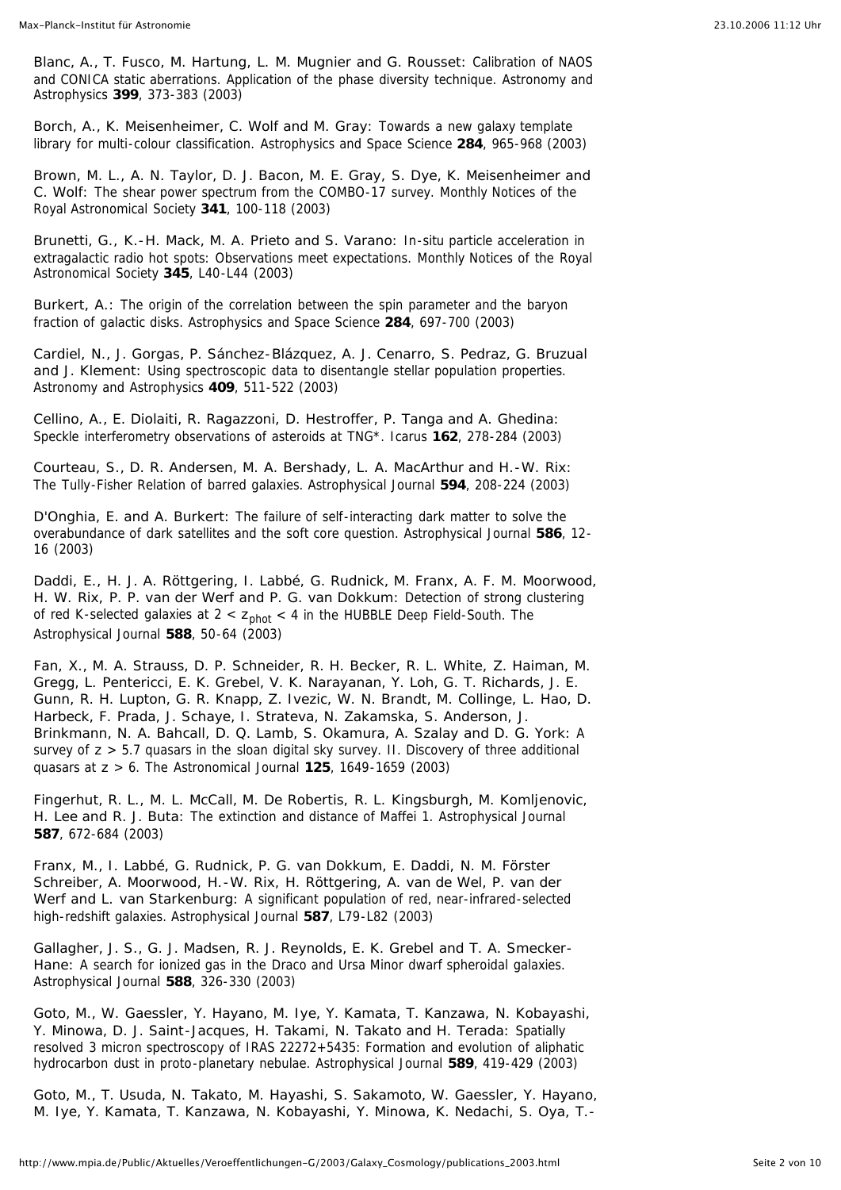*Blanc, A., T. Fusco, M. Hartung, L. M. Mugnier and G. Rousset:* Calibration of NAOS and CONICA static aberrations. Application of the phase diversity technique. Astronomy and Astrophysics **399**, 373-383 (2003)

*Borch, A., K. Meisenheimer, C. Wolf and M. Gray:* Towards a new galaxy template library for multi-colour classification. Astrophysics and Space Science **284**, 965-968 (2003)

*Brown, M. L., A. N. Taylor, D. J. Bacon, M. E. Gray, S. Dye, K. Meisenheimer and C. Wolf:* The shear power spectrum from the COMBO-17 survey. Monthly Notices of the Royal Astronomical Society **341**, 100-118 (2003)

*Brunetti, G., K.-H. Mack, M. A. Prieto and S. Varano:* In-situ particle acceleration in extragalactic radio hot spots: Observations meet expectations. Monthly Notices of the Royal Astronomical Society **345**, L40-L44 (2003)

*Burkert, A.:* The origin of the correlation between the spin parameter and the baryon fraction of galactic disks. Astrophysics and Space Science **284**, 697-700 (2003)

*Cardiel, N., J. Gorgas, P. Sánchez-Blázquez, A. J. Cenarro, S. Pedraz, G. Bruzual and J. Klement:* Using spectroscopic data to disentangle stellar population properties. Astronomy and Astrophysics **409**, 511-522 (2003)

*Cellino, A., E. Diolaiti, R. Ragazzoni, D. Hestroffer, P. Tanga and A. Ghedina:* Speckle interferometry observations of asteroids at TNG\*. Icarus **162**, 278-284 (2003)

*Courteau, S., D. R. Andersen, M. A. Bershady, L. A. MacArthur and H.-W. Rix:* The Tully-Fisher Relation of barred galaxies. Astrophysical Journal **594**, 208-224 (2003)

*D'Onghia, E. and A. Burkert:* The failure of self-interacting dark matter to solve the overabundance of dark satellites and the soft core question. Astrophysical Journal **586**, 12- 16 (2003)

*Daddi, E., H. J. A. Röttgering, I. Labbé, G. Rudnick, M. Franx, A. F. M. Moorwood, H. W. Rix, P. P. van der Werf and P. G. van Dokkum:* Detection of strong clustering of red K-selected galaxies at 2 <  $z<sub>phot</sub>$  < 4 in the HUBBLE Deep Field-South. The Astrophysical Journal **588**, 50-64 (2003)

*Fan, X., M. A. Strauss, D. P. Schneider, R. H. Becker, R. L. White, Z. Haiman, M. Gregg, L. Pentericci, E. K. Grebel, V. K. Narayanan, Y. Loh, G. T. Richards, J. E. Gunn, R. H. Lupton, G. R. Knapp, Z. Ivezic, W. N. Brandt, M. Collinge, L. Hao, D. Harbeck, F. Prada, J. Schaye, I. Strateva, N. Zakamska, S. Anderson, J. Brinkmann, N. A. Bahcall, D. Q. Lamb, S. Okamura, A. Szalay and D. G. York:* A survey of *z* > 5.7 quasars in the sloan digital sky survey. II. Discovery of three additional quasars at *z* > 6. The Astronomical Journal **125**, 1649-1659 (2003)

*Fingerhut, R. L., M. L. McCall, M. De Robertis, R. L. Kingsburgh, M. Komljenovic, H. Lee and R. J. Buta:* The extinction and distance of Maffei 1. Astrophysical Journal **587**, 672-684 (2003)

*Franx, M., I. Labbé, G. Rudnick, P. G. van Dokkum, E. Daddi, N. M. Förster Schreiber, A. Moorwood, H.-W. Rix, H. Röttgering, A. van de Wel, P. van der Werf and L. van Starkenburg:* A significant population of red, near-infrared-selected high-redshift galaxies. Astrophysical Journal **587**, L79-L82 (2003)

*Gallagher, J. S., G. J. Madsen, R. J. Reynolds, E. K. Grebel and T. A. Smecker-*Hane: A search for ionized gas in the Draco and Ursa Minor dwarf spheroidal galaxies. Astrophysical Journal **588**, 326-330 (2003)

*Goto, M., W. Gaessler, Y. Hayano, M. Iye, Y. Kamata, T. Kanzawa, N. Kobayashi, Y. Minowa, D. J. Saint-Jacques, H. Takami, N. Takato and H. Terada:* Spatially resolved 3 micron spectroscopy of IRAS 22272+5435: Formation and evolution of aliphatic hydrocarbon dust in proto-planetary nebulae. Astrophysical Journal **589**, 419-429 (2003)

*Goto, M., T. Usuda, N. Takato, M. Hayashi, S. Sakamoto, W. Gaessler, Y. Hayano, M. Iye, Y. Kamata, T. Kanzawa, N. Kobayashi, Y. Minowa, K. Nedachi, S. Oya, T.-*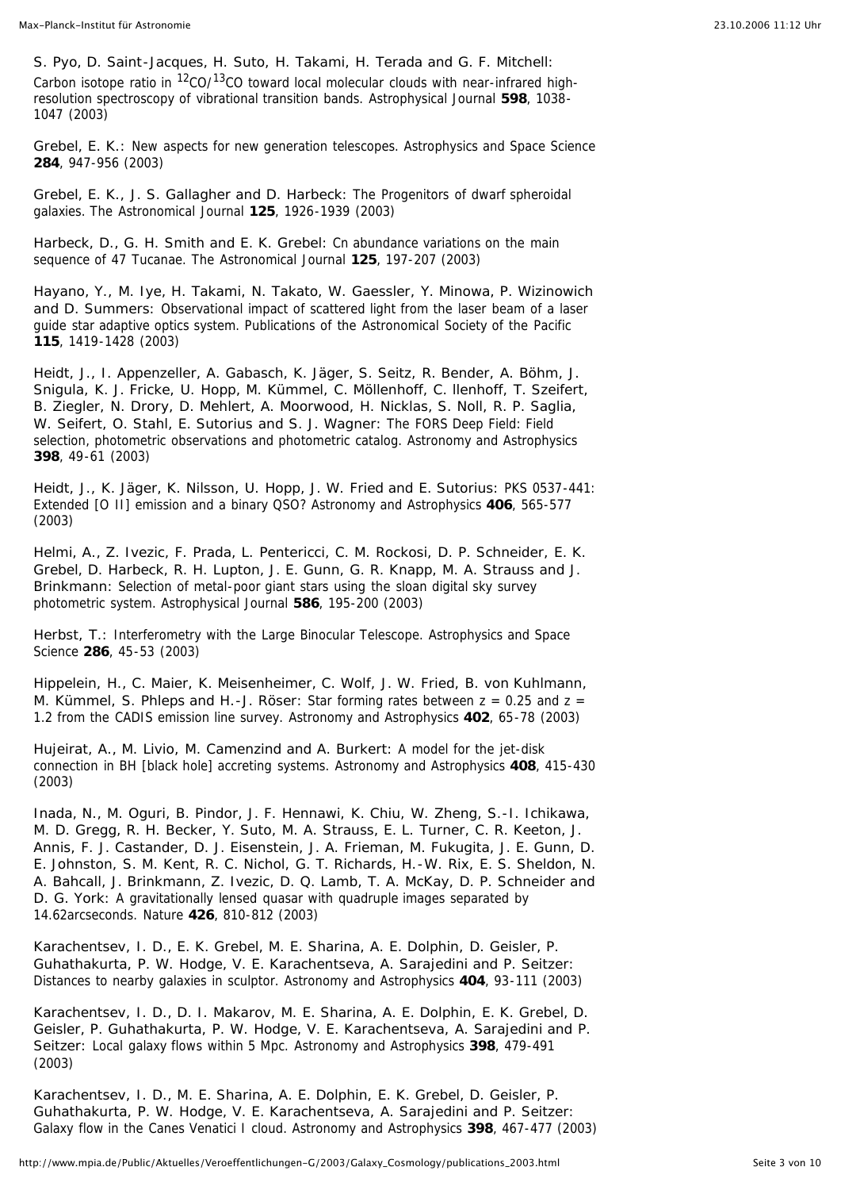*S. Pyo, D. Saint-Jacques, H. Suto, H. Takami, H. Terada and G. F. Mitchell:* Carbon isotope ratio in  ${}^{12}$ CO/ ${}^{13}$ CO toward local molecular clouds with near-infrared highresolution spectroscopy of vibrational transition bands. Astrophysical Journal **598**, 1038- 1047 (2003)

*Grebel, E. K.:* New aspects for new generation telescopes. Astrophysics and Space Science **284**, 947-956 (2003)

*Grebel, E. K., J. S. Gallagher and D. Harbeck:* The Progenitors of dwarf spheroidal galaxies. The Astronomical Journal **125**, 1926-1939 (2003)

*Harbeck, D., G. H. Smith and E. K. Grebel:* Cn abundance variations on the main sequence of 47 Tucanae. The Astronomical Journal **125**, 197-207 (2003)

*Hayano, Y., M. Iye, H. Takami, N. Takato, W. Gaessler, Y. Minowa, P. Wizinowich and D. Summers:* Observational impact of scattered light from the laser beam of a laser guide star adaptive optics system. Publications of the Astronomical Society of the Pacific **115**, 1419-1428 (2003)

*Heidt, J., I. Appenzeller, A. Gabasch, K. Jäger, S. Seitz, R. Bender, A. Böhm, J. Snigula, K. J. Fricke, U. Hopp, M. Kümmel, C. Möllenhoff, C. llenhoff, T. Szeifert, B. Ziegler, N. Drory, D. Mehlert, A. Moorwood, H. Nicklas, S. Noll, R. P. Saglia, W. Seifert, O. Stahl, E. Sutorius and S. J. Wagner:* The FORS Deep Field: Field selection, photometric observations and photometric catalog. Astronomy and Astrophysics **398**, 49-61 (2003)

*Heidt, J., K. Jäger, K. Nilsson, U. Hopp, J. W. Fried and E. Sutorius:* PKS 0537-441: Extended [O II] emission and a binary QSO? Astronomy and Astrophysics **406**, 565-577 (2003)

*Helmi, A., Z. Ivezic, F. Prada, L. Pentericci, C. M. Rockosi, D. P. Schneider, E. K. Grebel, D. Harbeck, R. H. Lupton, J. E. Gunn, G. R. Knapp, M. A. Strauss and J. Brinkmann:* Selection of metal-poor giant stars using the sloan digital sky survey photometric system. Astrophysical Journal **586**, 195-200 (2003)

*Herbst, T.:* Interferometry with the Large Binocular Telescope. Astrophysics and Space Science **286**, 45-53 (2003)

*Hippelein, H., C. Maier, K. Meisenheimer, C. Wolf, J. W. Fried, B. von Kuhlmann, M. Kümmel, S. Phleps and H.-J. Röser: Star forming rates between z = 0.25 and z =* 1.2 from the CADIS emission line survey. Astronomy and Astrophysics **402**, 65-78 (2003)

*Hujeirat, A., M. Livio, M. Camenzind and A. Burkert:* A model for the jet-disk connection in BH [black hole] accreting systems. Astronomy and Astrophysics **408**, 415-430 (2003)

*Inada, N., M. Oguri, B. Pindor, J. F. Hennawi, K. Chiu, W. Zheng, S.-I. Ichikawa, M. D. Gregg, R. H. Becker, Y. Suto, M. A. Strauss, E. L. Turner, C. R. Keeton, J. Annis, F. J. Castander, D. J. Eisenstein, J. A. Frieman, M. Fukugita, J. E. Gunn, D. E. Johnston, S. M. Kent, R. C. Nichol, G. T. Richards, H.-W. Rix, E. S. Sheldon, N. A. Bahcall, J. Brinkmann, Z. Ivezic, D. Q. Lamb, T. A. McKay, D. P. Schneider and D. G. York:* A gravitationally lensed quasar with quadruple images separated by 14.62arcseconds. Nature **426**, 810-812 (2003)

*Karachentsev, I. D., E. K. Grebel, M. E. Sharina, A. E. Dolphin, D. Geisler, P. Guhathakurta, P. W. Hodge, V. E. Karachentseva, A. Sarajedini and P. Seitzer:* Distances to nearby galaxies in sculptor. Astronomy and Astrophysics **404**, 93-111 (2003)

*Karachentsev, I. D., D. I. Makarov, M. E. Sharina, A. E. Dolphin, E. K. Grebel, D. Geisler, P. Guhathakurta, P. W. Hodge, V. E. Karachentseva, A. Sarajedini and P. Seitzer:* Local galaxy flows within 5 Mpc. Astronomy and Astrophysics **398**, 479-491 (2003)

*Karachentsev, I. D., M. E. Sharina, A. E. Dolphin, E. K. Grebel, D. Geisler, P. Guhathakurta, P. W. Hodge, V. E. Karachentseva, A. Sarajedini and P. Seitzer:* Galaxy flow in the Canes Venatici I cloud. Astronomy and Astrophysics **398**, 467-477 (2003)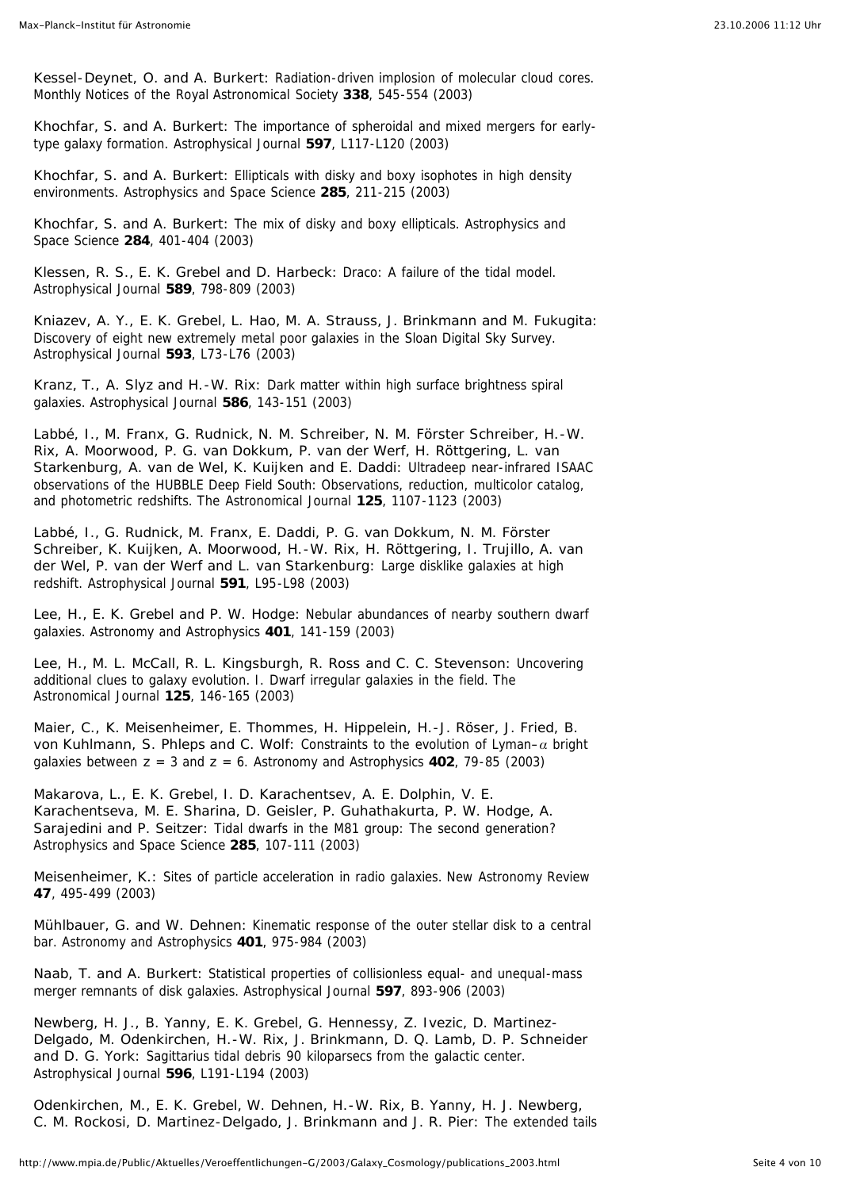*Kessel-Deynet, O. and A. Burkert:* Radiation-driven implosion of molecular cloud cores. Monthly Notices of the Royal Astronomical Society **338**, 545-554 (2003)

*Khochfar, S. and A. Burkert:* The importance of spheroidal and mixed mergers for earlytype galaxy formation. Astrophysical Journal **597**, L117-L120 (2003)

*Khochfar, S. and A. Burkert:* Ellipticals with disky and boxy isophotes in high density environments. Astrophysics and Space Science **285**, 211-215 (2003)

*Khochfar, S. and A. Burkert:* The mix of disky and boxy ellipticals. Astrophysics and Space Science **284**, 401-404 (2003)

*Klessen, R. S., E. K. Grebel and D. Harbeck:* Draco: A failure of the tidal model. Astrophysical Journal **589**, 798-809 (2003)

*Kniazev, A. Y., E. K. Grebel, L. Hao, M. A. Strauss, J. Brinkmann and M. Fukugita:* Discovery of eight new extremely metal poor galaxies in the Sloan Digital Sky Survey. Astrophysical Journal **593**, L73-L76 (2003)

*Kranz, T., A. Slyz and H.-W. Rix:* Dark matter within high surface brightness spiral galaxies. Astrophysical Journal **586**, 143-151 (2003)

*Labbé, I., M. Franx, G. Rudnick, N. M. Schreiber, N. M. Förster Schreiber, H.-W. Rix, A. Moorwood, P. G. van Dokkum, P. van der Werf, H. Röttgering, L. van Starkenburg, A. van de Wel, K. Kuijken and E. Daddi:* Ultradeep near-infrared ISAAC observations of the HUBBLE Deep Field South: Observations, reduction, multicolor catalog, and photometric redshifts. The Astronomical Journal **125**, 1107-1123 (2003)

*Labbé, I., G. Rudnick, M. Franx, E. Daddi, P. G. van Dokkum, N. M. Förster Schreiber, K. Kuijken, A. Moorwood, H.-W. Rix, H. Röttgering, I. Trujillo, A. van der Wel, P. van der Werf and L. van Starkenburg:* Large disklike galaxies at high redshift. Astrophysical Journal **591**, L95-L98 (2003)

*Lee, H., E. K. Grebel and P. W. Hodge:* Nebular abundances of nearby southern dwarf galaxies. Astronomy and Astrophysics **401**, 141-159 (2003)

*Lee, H., M. L. McCall, R. L. Kingsburgh, R. Ross and C. C. Stevenson:* Uncovering additional clues to galaxy evolution. I. Dwarf irregular galaxies in the field. The Astronomical Journal **125**, 146-165 (2003)

*Maier, C., K. Meisenheimer, E. Thommes, H. Hippelein, H.-J. Röser, J. Fried, B. von Kuhlmann, S. Phleps and C. Wolf:* Constraints to the evolution of Lyman–*a* bright galaxies between *z* = 3 and *z* = 6. Astronomy and Astrophysics **402**, 79-85 (2003)

*Makarova, L., E. K. Grebel, I. D. Karachentsev, A. E. Dolphin, V. E. Karachentseva, M. E. Sharina, D. Geisler, P. Guhathakurta, P. W. Hodge, A. Sarajedini and P. Seitzer:* Tidal dwarfs in the M81 group: The second generation? Astrophysics and Space Science **285**, 107-111 (2003)

*Meisenheimer, K.:* Sites of particle acceleration in radio galaxies. New Astronomy Review **47**, 495-499 (2003)

*Mühlbauer, G. and W. Dehnen:* Kinematic response of the outer stellar disk to a central bar. Astronomy and Astrophysics **401**, 975-984 (2003)

*Naab, T. and A. Burkert:* Statistical properties of collisionless equal- and unequal-mass merger remnants of disk galaxies. Astrophysical Journal **597**, 893-906 (2003)

*Newberg, H. J., B. Yanny, E. K. Grebel, G. Hennessy, Z. Ivezic, D. Martinez-Delgado, M. Odenkirchen, H.-W. Rix, J. Brinkmann, D. Q. Lamb, D. P. Schneider and D. G. York:* Sagittarius tidal debris 90 kiloparsecs from the galactic center. Astrophysical Journal **596**, L191-L194 (2003)

*Odenkirchen, M., E. K. Grebel, W. Dehnen, H.-W. Rix, B. Yanny, H. J. Newberg, C. M. Rockosi, D. Martinez-Delgado, J. Brinkmann and J. R. Pier:* The extended tails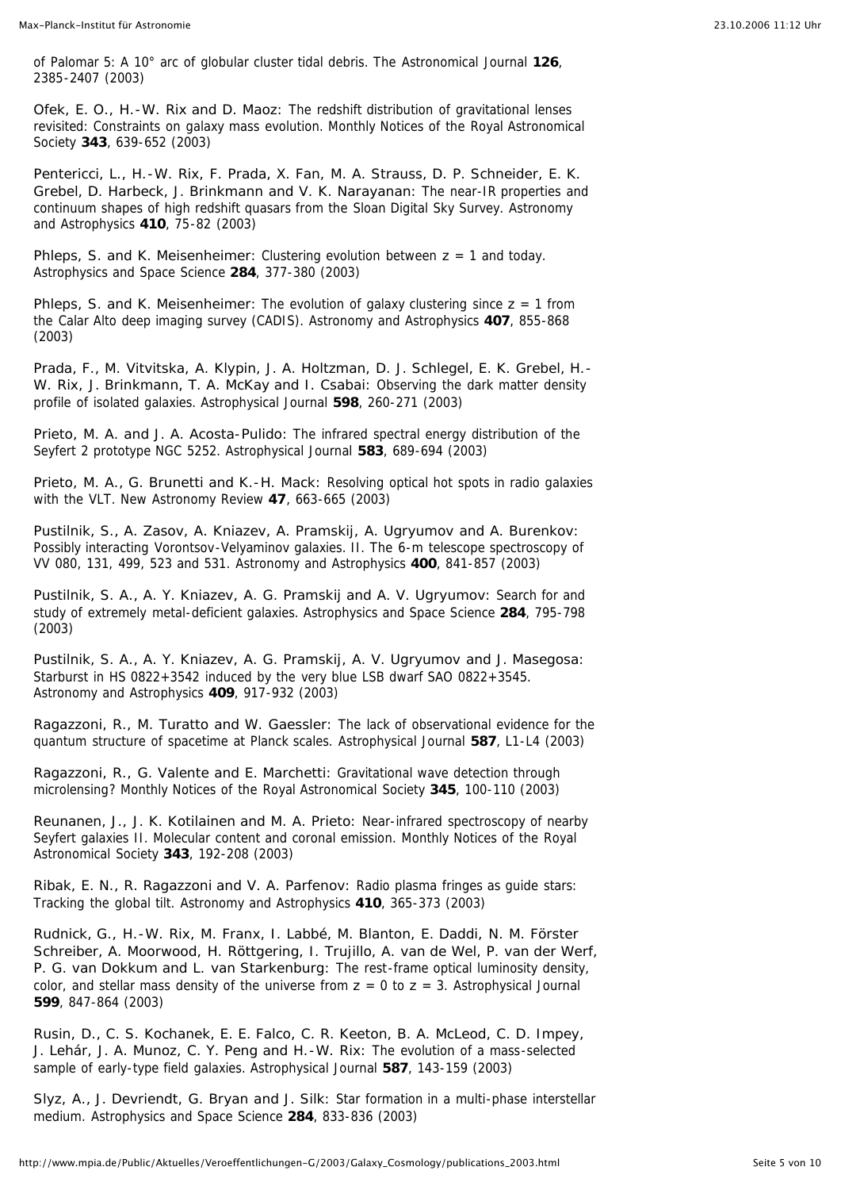of Palomar 5: A 10° arc of globular cluster tidal debris. The Astronomical Journal **126**, 2385-2407 (2003)

*Ofek, E. O., H.-W. Rix and D. Maoz:* The redshift distribution of gravitational lenses revisited: Constraints on galaxy mass evolution. Monthly Notices of the Royal Astronomical Society **343**, 639-652 (2003)

*Pentericci, L., H.-W. Rix, F. Prada, X. Fan, M. A. Strauss, D. P. Schneider, E. K. Grebel, D. Harbeck, J. Brinkmann and V. K. Narayanan:* The near-IR properties and continuum shapes of high redshift quasars from the Sloan Digital Sky Survey. Astronomy and Astrophysics **410**, 75-82 (2003)

*Phleps, S. and K. Meisenheimer:* Clustering evolution between *z* = 1 and today. Astrophysics and Space Science **284**, 377-380 (2003)

*Phleps, S. and K. Meisenheimer:* The evolution of galaxy clustering since *z* = 1 from the Calar Alto deep imaging survey (CADIS). Astronomy and Astrophysics **407**, 855-868 (2003)

*Prada, F., M. Vitvitska, A. Klypin, J. A. Holtzman, D. J. Schlegel, E. K. Grebel, H.- W. Rix, J. Brinkmann, T. A. McKay and I. Csabai:* Observing the dark matter density profile of isolated galaxies. Astrophysical Journal **598**, 260-271 (2003)

*Prieto, M. A. and J. A. Acosta-Pulido:* The infrared spectral energy distribution of the Seyfert 2 prototype NGC 5252. Astrophysical Journal **583**, 689-694 (2003)

*Prieto, M. A., G. Brunetti and K.-H. Mack:* Resolving optical hot spots in radio galaxies with the VLT. New Astronomy Review **47**, 663-665 (2003)

*Pustilnik, S., A. Zasov, A. Kniazev, A. Pramskij, A. Ugryumov and A. Burenkov:* Possibly interacting Vorontsov-Velyaminov galaxies. II. The 6-m telescope spectroscopy of VV 080, 131, 499, 523 and 531. Astronomy and Astrophysics **400**, 841-857 (2003)

*Pustilnik, S. A., A. Y. Kniazev, A. G. Pramskij and A. V. Ugryumov:* Search for and study of extremely metal-deficient galaxies. Astrophysics and Space Science **284**, 795-798 (2003)

*Pustilnik, S. A., A. Y. Kniazev, A. G. Pramskij, A. V. Ugryumov and J. Masegosa:* Starburst in HS 0822+3542 induced by the very blue LSB dwarf SAO 0822+3545. Astronomy and Astrophysics **409**, 917-932 (2003)

*Ragazzoni, R., M. Turatto and W. Gaessler:* The lack of observational evidence for the quantum structure of spacetime at Planck scales. Astrophysical Journal **587**, L1-L4 (2003)

*Ragazzoni, R., G. Valente and E. Marchetti:* Gravitational wave detection through microlensing? Monthly Notices of the Royal Astronomical Society **345**, 100-110 (2003)

*Reunanen, J., J. K. Kotilainen and M. A. Prieto:* Near-infrared spectroscopy of nearby Seyfert galaxies II. Molecular content and coronal emission. Monthly Notices of the Royal Astronomical Society **343**, 192-208 (2003)

*Ribak, E. N., R. Ragazzoni and V. A. Parfenov:* Radio plasma fringes as guide stars: Tracking the global tilt. Astronomy and Astrophysics **410**, 365-373 (2003)

*Rudnick, G., H.-W. Rix, M. Franx, I. Labbé, M. Blanton, E. Daddi, N. M. Förster Schreiber, A. Moorwood, H. Röttgering, I. Trujillo, A. van de Wel, P. van der Werf, P. G. van Dokkum and L. van Starkenburg:* The rest-frame optical luminosity density, color, and stellar mass density of the universe from  $z = 0$  to  $z = 3$ . Astrophysical Journal **599**, 847-864 (2003)

*Rusin, D., C. S. Kochanek, E. E. Falco, C. R. Keeton, B. A. McLeod, C. D. Impey, J. Lehár, J. A. Munoz, C. Y. Peng and H.-W. Rix:* The evolution of a mass-selected sample of early-type field galaxies. Astrophysical Journal **587**, 143-159 (2003)

*Slyz, A., J. Devriendt, G. Bryan and J. Silk:* Star formation in a multi-phase interstellar medium. Astrophysics and Space Science **284**, 833-836 (2003)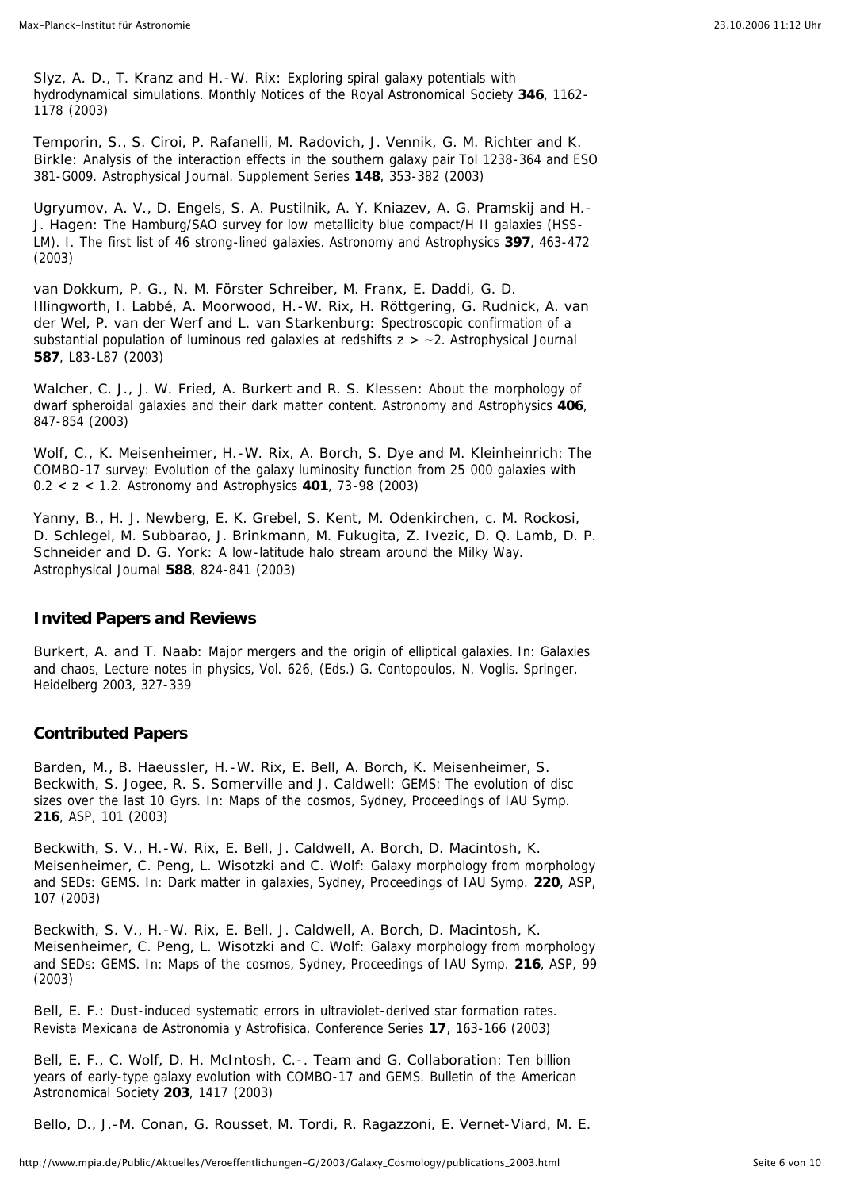*Slyz, A. D., T. Kranz and H.-W. Rix:* Exploring spiral galaxy potentials with hydrodynamical simulations. Monthly Notices of the Royal Astronomical Society **346**, 1162- 1178 (2003)

*Temporin, S., S. Ciroi, P. Rafanelli, M. Radovich, J. Vennik, G. M. Richter and K. Birkle:* Analysis of the interaction effects in the southern galaxy pair Tol 1238-364 and ESO 381-G009. Astrophysical Journal. Supplement Series **148**, 353-382 (2003)

*Ugryumov, A. V., D. Engels, S. A. Pustilnik, A. Y. Kniazev, A. G. Pramskij and H.- J. Hagen:* The Hamburg/SAO survey for low metallicity blue compact/H II galaxies (HSS-LM). I. The first list of 46 strong-lined galaxies. Astronomy and Astrophysics **397**, 463-472 (2003)

*van Dokkum, P. G., N. M. Förster Schreiber, M. Franx, E. Daddi, G. D. Illingworth, I. Labbé, A. Moorwood, H.-W. Rix, H. Röttgering, G. Rudnick, A. van der Wel, P. van der Werf and L. van Starkenburg:* Spectroscopic confirmation of a substantial population of luminous red galaxies at redshifts *z* > ~2. Astrophysical Journal **587**, L83-L87 (2003)

*Walcher, C. J., J. W. Fried, A. Burkert and R. S. Klessen:* About the morphology of dwarf spheroidal galaxies and their dark matter content. Astronomy and Astrophysics **406**, 847-854 (2003)

*Wolf, C., K. Meisenheimer, H.-W. Rix, A. Borch, S. Dye and M. Kleinheinrich:* The COMBO-17 survey: Evolution of the galaxy luminosity function from 25 000 galaxies with 0.2 < *z* < 1.2. Astronomy and Astrophysics **401**, 73-98 (2003)

*Yanny, B., H. J. Newberg, E. K. Grebel, S. Kent, M. Odenkirchen, c. M. Rockosi, D. Schlegel, M. Subbarao, J. Brinkmann, M. Fukugita, Z. Ivezic, D. Q. Lamb, D. P. Schneider and D. G. York:* A low-latitude halo stream around the Milky Way. Astrophysical Journal **588**, 824-841 (2003)

## **Invited Papers and Reviews**

*Burkert, A. and T. Naab:* Major mergers and the origin of elliptical galaxies. In: Galaxies and chaos, Lecture notes in physics, Vol. 626, (Eds.) G. Contopoulos, N. Voglis. Springer, Heidelberg 2003, 327-339

## **Contributed Papers**

*Barden, M., B. Haeussler, H.-W. Rix, E. Bell, A. Borch, K. Meisenheimer, S. Beckwith, S. Jogee, R. S. Somerville and J. Caldwell:* GEMS: The evolution of disc sizes over the last 10 Gyrs. In: Maps of the cosmos, Sydney, Proceedings of IAU Symp. **216**, ASP, 101 (2003)

*Beckwith, S. V., H.-W. Rix, E. Bell, J. Caldwell, A. Borch, D. Macintosh, K. Meisenheimer, C. Peng, L. Wisotzki and C. Wolf:* Galaxy morphology from morphology and SEDs: GEMS. In: Dark matter in galaxies, Sydney, Proceedings of IAU Symp. **220**, ASP, 107 (2003)

*Beckwith, S. V., H.-W. Rix, E. Bell, J. Caldwell, A. Borch, D. Macintosh, K. Meisenheimer, C. Peng, L. Wisotzki and C. Wolf:* Galaxy morphology from morphology and SEDs: GEMS. In: Maps of the cosmos, Sydney, Proceedings of IAU Symp. **216**, ASP, 99 (2003)

*Bell, E. F.:* Dust-induced systematic errors in ultraviolet-derived star formation rates. Revista Mexicana de Astronomia y Astrofisica. Conference Series **17**, 163-166 (2003)

*Bell, E. F., C. Wolf, D. H. McIntosh, C.-. Team and G. Collaboration:* Ten billion years of early-type galaxy evolution with COMBO-17 and GEMS. Bulletin of the American Astronomical Society **203**, 1417 (2003)

*Bello, D., J.-M. Conan, G. Rousset, M. Tordi, R. Ragazzoni, E. Vernet-Viard, M. E.*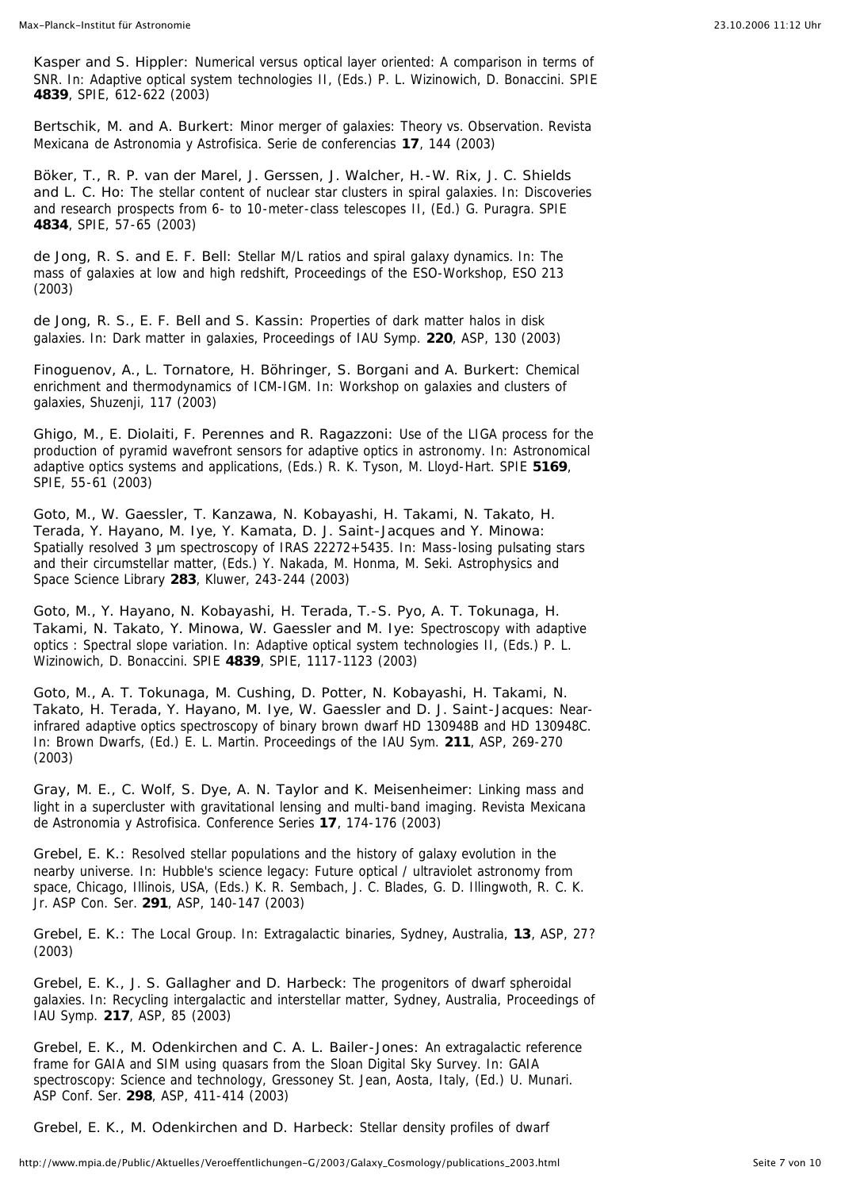*Kasper and S. Hippler:* Numerical versus optical layer oriented: A comparison in terms of SNR. In: Adaptive optical system technologies II, (Eds.) P. L. Wizinowich, D. Bonaccini. SPIE **4839**, SPIE, 612-622 (2003)

*Bertschik, M. and A. Burkert:* Minor merger of galaxies: Theory vs. Observation. Revista Mexicana de Astronomia y Astrofisica. Serie de conferencias **17**, 144 (2003)

*Böker, T., R. P. van der Marel, J. Gerssen, J. Walcher, H.-W. Rix, J. C. Shields and L. C. Ho:* The stellar content of nuclear star clusters in spiral galaxies. In: Discoveries and research prospects from 6- to 10-meter-class telescopes II, (Ed.) G. Puragra. SPIE **4834**, SPIE, 57-65 (2003)

*de Jong, R. S. and E. F. Bell:* Stellar M/L ratios and spiral galaxy dynamics. In: The mass of galaxies at low and high redshift, Proceedings of the ESO-Workshop, ESO 213 (2003)

*de Jong, R. S., E. F. Bell and S. Kassin:* Properties of dark matter halos in disk galaxies. In: Dark matter in galaxies, Proceedings of IAU Symp. **220**, ASP, 130 (2003)

*Finoguenov, A., L. Tornatore, H. Böhringer, S. Borgani and A. Burkert:* Chemical enrichment and thermodynamics of ICM-IGM. In: Workshop on galaxies and clusters of galaxies, Shuzenji, 117 (2003)

*Ghigo, M., E. Diolaiti, F. Perennes and R. Ragazzoni:* Use of the LIGA process for the production of pyramid wavefront sensors for adaptive optics in astronomy. In: Astronomical adaptive optics systems and applications, (Eds.) R. K. Tyson, M. Lloyd-Hart. SPIE **5169**, SPIE, 55-61 (2003)

*Goto, M., W. Gaessler, T. Kanzawa, N. Kobayashi, H. Takami, N. Takato, H. Terada, Y. Hayano, M. Iye, Y. Kamata, D. J. Saint-Jacques and Y. Minowa:* Spatially resolved 3 um spectroscopy of IRAS 22272+5435. In: Mass-losing pulsating stars and their circumstellar matter, (Eds.) Y. Nakada, M. Honma, M. Seki. Astrophysics and Space Science Library **283**, Kluwer, 243-244 (2003)

*Goto, M., Y. Hayano, N. Kobayashi, H. Terada, T.-S. Pyo, A. T. Tokunaga, H. Takami, N. Takato, Y. Minowa, W. Gaessler and M. Iye:* Spectroscopy with adaptive optics : Spectral slope variation. In: Adaptive optical system technologies II, (Eds.) P. L. Wizinowich, D. Bonaccini. SPIE **4839**, SPIE, 1117-1123 (2003)

*Goto, M., A. T. Tokunaga, M. Cushing, D. Potter, N. Kobayashi, H. Takami, N. Takato, H. Terada, Y. Hayano, M. Iye, W. Gaessler and D. J. Saint-Jacques:* Nearinfrared adaptive optics spectroscopy of binary brown dwarf HD 130948B and HD 130948C. In: Brown Dwarfs, (Ed.) E. L. Martin. Proceedings of the IAU Sym. **211**, ASP, 269-270 (2003)

*Gray, M. E., C. Wolf, S. Dye, A. N. Taylor and K. Meisenheimer:* Linking mass and light in a supercluster with gravitational lensing and multi-band imaging. Revista Mexicana de Astronomia y Astrofisica. Conference Series **17**, 174-176 (2003)

*Grebel, E. K.:* Resolved stellar populations and the history of galaxy evolution in the nearby universe. In: Hubble's science legacy: Future optical / ultraviolet astronomy from space, Chicago, Illinois, USA, (Eds.) K. R. Sembach, J. C. Blades, G. D. Illingwoth, R. C. K. Jr. ASP Con. Ser. **291**, ASP, 140-147 (2003)

*Grebel, E. K.:* The Local Group. In: Extragalactic binaries, Sydney, Australia, **13**, ASP, 27? (2003)

*Grebel, E. K., J. S. Gallagher and D. Harbeck:* The progenitors of dwarf spheroidal galaxies. In: Recycling intergalactic and interstellar matter, Sydney, Australia, Proceedings of IAU Symp. **217**, ASP, 85 (2003)

*Grebel, E. K., M. Odenkirchen and C. A. L. Bailer-Jones:* An extragalactic reference frame for GAIA and SIM using quasars from the Sloan Digital Sky Survey. In: GAIA spectroscopy: Science and technology, Gressoney St. Jean, Aosta, Italy, (Ed.) U. Munari. ASP Conf. Ser. **298**, ASP, 411-414 (2003)

*Grebel, E. K., M. Odenkirchen and D. Harbeck:* Stellar density profiles of dwarf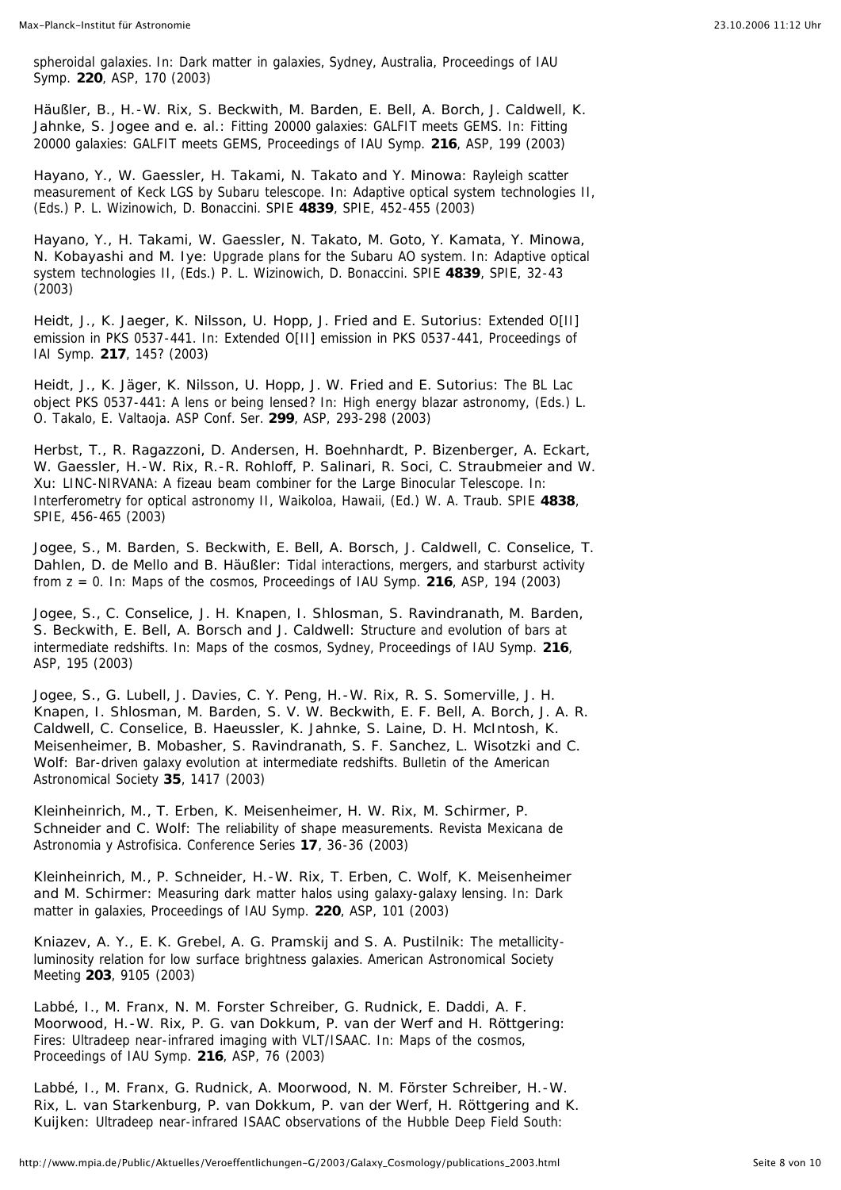spheroidal galaxies. In: Dark matter in galaxies, Sydney, Australia, Proceedings of IAU Symp. **220**, ASP, 170 (2003)

*Häußler, B., H.-W. Rix, S. Beckwith, M. Barden, E. Bell, A. Borch, J. Caldwell, K. Jahnke, S. Jogee and e. al.:* Fitting 20000 galaxies: GALFIT meets GEMS. In: Fitting 20000 galaxies: GALFIT meets GEMS, Proceedings of IAU Symp. **216**, ASP, 199 (2003)

*Hayano, Y., W. Gaessler, H. Takami, N. Takato and Y. Minowa:* Rayleigh scatter measurement of Keck LGS by Subaru telescope. In: Adaptive optical system technologies II, (Eds.) P. L. Wizinowich, D. Bonaccini. SPIE **4839**, SPIE, 452-455 (2003)

*Hayano, Y., H. Takami, W. Gaessler, N. Takato, M. Goto, Y. Kamata, Y. Minowa, N. Kobayashi and M. Iye:* Upgrade plans for the Subaru AO system. In: Adaptive optical system technologies II, (Eds.) P. L. Wizinowich, D. Bonaccini. SPIE **4839**, SPIE, 32-43 (2003)

*Heidt, J., K. Jaeger, K. Nilsson, U. Hopp, J. Fried and E. Sutorius:* Extended O[II] emission in PKS 0537-441. In: Extended O[II] emission in PKS 0537-441, Proceedings of IAI Symp. **217**, 145? (2003)

*Heidt, J., K. Jäger, K. Nilsson, U. Hopp, J. W. Fried and E. Sutorius:* The BL Lac object PKS 0537-441: A lens or being lensed? In: High energy blazar astronomy, (Eds.) L. O. Takalo, E. Valtaoja. ASP Conf. Ser. **299**, ASP, 293-298 (2003)

*Herbst, T., R. Ragazzoni, D. Andersen, H. Boehnhardt, P. Bizenberger, A. Eckart, W. Gaessler, H.-W. Rix, R.-R. Rohloff, P. Salinari, R. Soci, C. Straubmeier and W. Xu:* LINC-NIRVANA: A fizeau beam combiner for the Large Binocular Telescope. In: Interferometry for optical astronomy II, Waikoloa, Hawaii, (Ed.) W. A. Traub. SPIE **4838**, SPIE, 456-465 (2003)

*Jogee, S., M. Barden, S. Beckwith, E. Bell, A. Borsch, J. Caldwell, C. Conselice, T. Dahlen, D. de Mello and B. Häußler:* Tidal interactions, mergers, and starburst activity from z = 0. In: Maps of the cosmos, Proceedings of IAU Symp. **216**, ASP, 194 (2003)

*Jogee, S., C. Conselice, J. H. Knapen, I. Shlosman, S. Ravindranath, M. Barden, S. Beckwith, E. Bell, A. Borsch and J. Caldwell:* Structure and evolution of bars at intermediate redshifts. In: Maps of the cosmos, Sydney, Proceedings of IAU Symp. **216**, ASP, 195 (2003)

*Jogee, S., G. Lubell, J. Davies, C. Y. Peng, H.-W. Rix, R. S. Somerville, J. H. Knapen, I. Shlosman, M. Barden, S. V. W. Beckwith, E. F. Bell, A. Borch, J. A. R. Caldwell, C. Conselice, B. Haeussler, K. Jahnke, S. Laine, D. H. McIntosh, K. Meisenheimer, B. Mobasher, S. Ravindranath, S. F. Sanchez, L. Wisotzki and C. Wolf:* Bar-driven galaxy evolution at intermediate redshifts. Bulletin of the American Astronomical Society **35**, 1417 (2003)

*Kleinheinrich, M., T. Erben, K. Meisenheimer, H. W. Rix, M. Schirmer, P. Schneider and C. Wolf:* The reliability of shape measurements. Revista Mexicana de Astronomia y Astrofisica. Conference Series **17**, 36-36 (2003)

*Kleinheinrich, M., P. Schneider, H.-W. Rix, T. Erben, C. Wolf, K. Meisenheimer and M. Schirmer:* Measuring dark matter halos using galaxy-galaxy lensing. In: Dark matter in galaxies, Proceedings of IAU Symp. **220**, ASP, 101 (2003)

*Kniazev, A. Y., E. K. Grebel, A. G. Pramskij and S. A. Pustilnik:* The metallicityluminosity relation for low surface brightness galaxies. American Astronomical Society Meeting **203**, 9105 (2003)

*Labbé, I., M. Franx, N. M. Forster Schreiber, G. Rudnick, E. Daddi, A. F. Moorwood, H.-W. Rix, P. G. van Dokkum, P. van der Werf and H. Röttgering:* Fires: Ultradeep near-infrared imaging with VLT/ISAAC. In: Maps of the cosmos, Proceedings of IAU Symp. **216**, ASP, 76 (2003)

*Labbé, I., M. Franx, G. Rudnick, A. Moorwood, N. M. Förster Schreiber, H.-W. Rix, L. van Starkenburg, P. van Dokkum, P. van der Werf, H. Röttgering and K. Kuijken:* Ultradeep near-infrared ISAAC observations of the Hubble Deep Field South: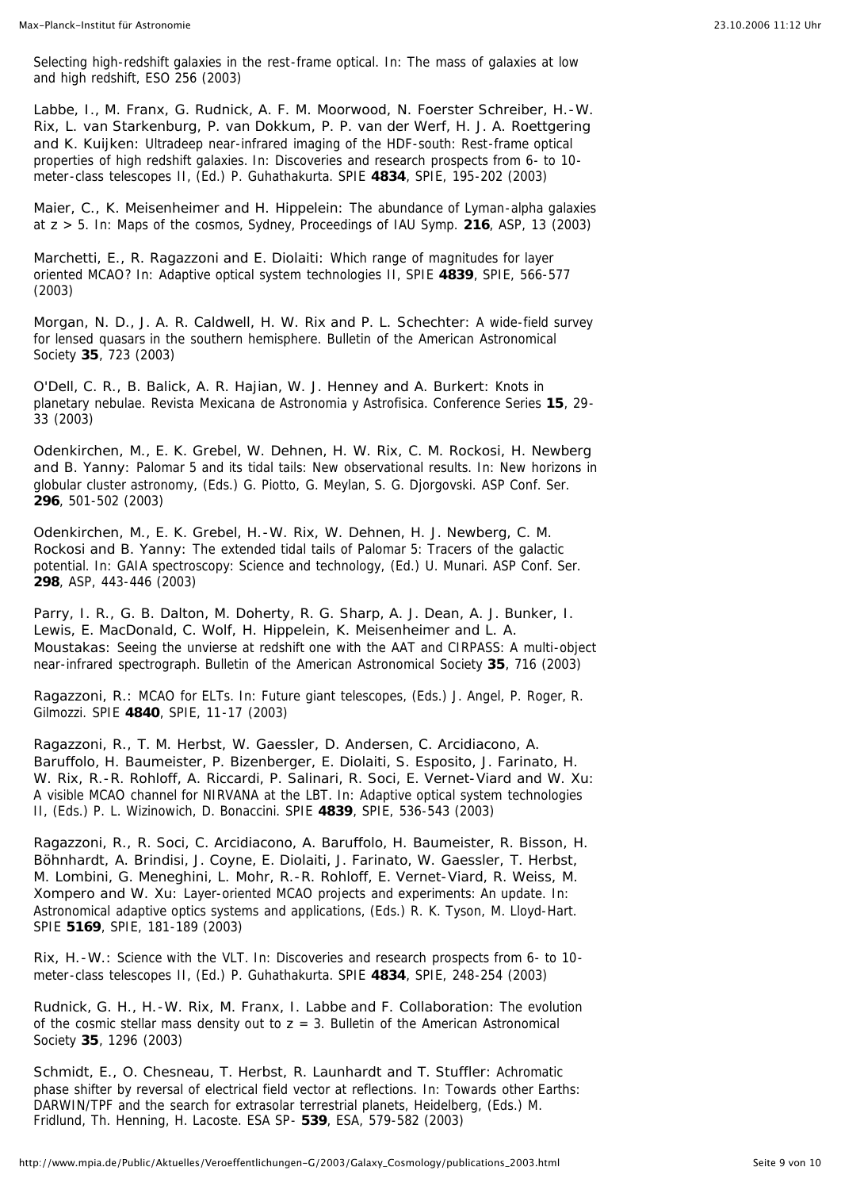Selecting high-redshift galaxies in the rest-frame optical. In: The mass of galaxies at low and high redshift, ESO 256 (2003)

*Labbe, I., M. Franx, G. Rudnick, A. F. M. Moorwood, N. Foerster Schreiber, H.-W. Rix, L. van Starkenburg, P. van Dokkum, P. P. van der Werf, H. J. A. Roettgering and K. Kuijken:* Ultradeep near-infrared imaging of the HDF-south: Rest-frame optical properties of high redshift galaxies. In: Discoveries and research prospects from 6- to 10 meter-class telescopes II, (Ed.) P. Guhathakurta. SPIE **4834**, SPIE, 195-202 (2003)

*Maier, C., K. Meisenheimer and H. Hippelein:* The abundance of Lyman-alpha galaxies at *z* > 5. In: Maps of the cosmos, Sydney, Proceedings of IAU Symp. **216**, ASP, 13 (2003)

*Marchetti, E., R. Ragazzoni and E. Diolaiti:* Which range of magnitudes for layer oriented MCAO? In: Adaptive optical system technologies II, SPIE **4839**, SPIE, 566-577 (2003)

*Morgan, N. D., J. A. R. Caldwell, H. W. Rix and P. L. Schechter:* A wide-field survey for lensed quasars in the southern hemisphere. Bulletin of the American Astronomical Society **35**, 723 (2003)

*O'Dell, C. R., B. Balick, A. R. Hajian, W. J. Henney and A. Burkert:* Knots in planetary nebulae. Revista Mexicana de Astronomia y Astrofisica. Conference Series **15**, 29- 33 (2003)

*Odenkirchen, M., E. K. Grebel, W. Dehnen, H. W. Rix, C. M. Rockosi, H. Newberg and B. Yanny:* Palomar 5 and its tidal tails: New observational results. In: New horizons in globular cluster astronomy, (Eds.) G. Piotto, G. Meylan, S. G. Djorgovski. ASP Conf. Ser. **296**, 501-502 (2003)

*Odenkirchen, M., E. K. Grebel, H.-W. Rix, W. Dehnen, H. J. Newberg, C. M. Rockosi and B. Yanny:* The extended tidal tails of Palomar 5: Tracers of the galactic potential. In: GAIA spectroscopy: Science and technology, (Ed.) U. Munari. ASP Conf. Ser. **298**, ASP, 443-446 (2003)

*Parry, I. R., G. B. Dalton, M. Doherty, R. G. Sharp, A. J. Dean, A. J. Bunker, I. Lewis, E. MacDonald, C. Wolf, H. Hippelein, K. Meisenheimer and L. A. Moustakas:* Seeing the unvierse at redshift one with the AAT and CIRPASS: A multi-object near-infrared spectrograph. Bulletin of the American Astronomical Society **35**, 716 (2003)

*Ragazzoni, R.:* MCAO for ELTs. In: Future giant telescopes, (Eds.) J. Angel, P. Roger, R. Gilmozzi. SPIE **4840**, SPIE, 11-17 (2003)

*Ragazzoni, R., T. M. Herbst, W. Gaessler, D. Andersen, C. Arcidiacono, A. Baruffolo, H. Baumeister, P. Bizenberger, E. Diolaiti, S. Esposito, J. Farinato, H. W. Rix, R.-R. Rohloff, A. Riccardi, P. Salinari, R. Soci, E. Vernet-Viard and W. Xu:* A visible MCAO channel for NIRVANA at the LBT. In: Adaptive optical system technologies II, (Eds.) P. L. Wizinowich, D. Bonaccini. SPIE **4839**, SPIE, 536-543 (2003)

*Ragazzoni, R., R. Soci, C. Arcidiacono, A. Baruffolo, H. Baumeister, R. Bisson, H. Böhnhardt, A. Brindisi, J. Coyne, E. Diolaiti, J. Farinato, W. Gaessler, T. Herbst, M. Lombini, G. Meneghini, L. Mohr, R.-R. Rohloff, E. Vernet-Viard, R. Weiss, M. Xompero and W. Xu:* Layer-oriented MCAO projects and experiments: An update. In: Astronomical adaptive optics systems and applications, (Eds.) R. K. Tyson, M. Lloyd-Hart. SPIE **5169**, SPIE, 181-189 (2003)

*Rix, H.-W.:* Science with the VLT. In: Discoveries and research prospects from 6- to 10 meter-class telescopes II, (Ed.) P. Guhathakurta. SPIE **4834**, SPIE, 248-254 (2003)

*Rudnick, G. H., H.-W. Rix, M. Franx, I. Labbe and F. Collaboration:* The evolution of the cosmic stellar mass density out to  $z = 3$ . Bulletin of the American Astronomical Society **35**, 1296 (2003)

*Schmidt, E., O. Chesneau, T. Herbst, R. Launhardt and T. Stuffler:* Achromatic phase shifter by reversal of electrical field vector at reflections. In: Towards other Earths: DARWIN/TPF and the search for extrasolar terrestrial planets, Heidelberg, (Eds.) M. Fridlund, Th. Henning, H. Lacoste. ESA SP- **539**, ESA, 579-582 (2003)